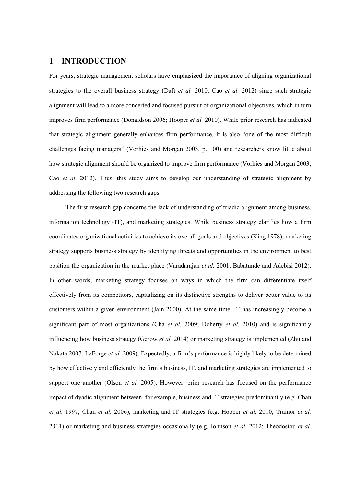# **1 INTRODUCTION**

For years, strategic management scholars have emphasized the importance of aligning organizational strategies to the overall business strategy (Daft *et al.* 2010; Cao *et al.* 2012) since such strategic alignment will lead to a more concerted and focused pursuit of organizational objectives, which in turn improves firm performance (Donaldson 2006; Hooper *et al.* 2010). While prior research has indicated that strategic alignment generally enhances firm performance, it is also "one of the most difficult challenges facing managers" (Vorhies and Morgan 2003, p. 100) and researchers know little about how strategic alignment should be organized to improve firm performance (Vorhies and Morgan 2003; Cao *et al.* 2012). Thus, this study aims to develop our understanding of strategic alignment by addressing the following two research gaps.

The first research gap concerns the lack of understanding of triadic alignment among business, information technology (IT), and marketing strategies. While business strategy clarifies how a firm coordinates organizational activities to achieve its overall goals and objectives (King 1978), marketing strategy supports business strategy by identifying threats and opportunities in the environment to best position the organization in the market place (Varadarajan *et al.* 2001; Babatunde and Adebisi 2012). In other words, marketing strategy focuses on ways in which the firm can differentiate itself effectively from its competitors, capitalizing on its distinctive strengths to deliver better value to its customers within a given environment (Jain 2000). At the same time, IT has increasingly become a significant part of most organizations (Cha *et al.* 2009; Doherty *et al.* 2010) and is significantly influencing how business strategy (Gerow *et al.* 2014) or marketing strategy is implemented (Zhu and Nakata 2007; LaForge *et al.* 2009). Expectedly, a firm's performance is highly likely to be determined by how effectively and efficiently the firm's business, IT, and marketing strategies are implemented to support one another (Olson *et al.* 2005). However, prior research has focused on the performance impact of dyadic alignment between, for example, business and IT strategies predominantly (e.g. Chan *et al.* 1997; Chan *et al.* 2006), marketing and IT strategies (e.g. Hooper *et al.* 2010; Trainor *et al.* 2011) or marketing and business strategies occasionally (e.g. Johnson *et al.* 2012; Theodosiou *et al.*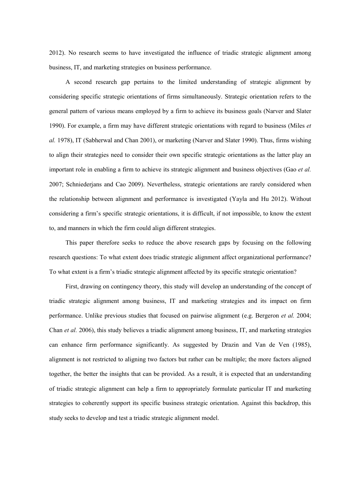2012). No research seems to have investigated the influence of triadic strategic alignment among business, IT, and marketing strategies on business performance.

A second research gap pertains to the limited understanding of strategic alignment by considering specific strategic orientations of firms simultaneously. Strategic orientation refers to the general pattern of various means employed by a firm to achieve its business goals (Narver and Slater 1990). For example, a firm may have different strategic orientations with regard to business (Miles *et al.* 1978), IT (Sabherwal and Chan 2001), or marketing (Narver and Slater 1990). Thus, firms wishing to align their strategies need to consider their own specific strategic orientations as the latter play an important role in enabling a firm to achieve its strategic alignment and business objectives (Gao *et al.* 2007; Schniederjans and Cao 2009). Nevertheless, strategic orientations are rarely considered when the relationship between alignment and performance is investigated (Yayla and Hu 2012). Without considering a firm's specific strategic orientations, it is difficult, if not impossible, to know the extent to, and manners in which the firm could align different strategies.

This paper therefore seeks to reduce the above research gaps by focusing on the following research questions: To what extent does triadic strategic alignment affect organizational performance? To what extent is a firm's triadic strategic alignment affected by its specific strategic orientation?

First, drawing on contingency theory, this study will develop an understanding of the concept of triadic strategic alignment among business, IT and marketing strategies and its impact on firm performance. Unlike previous studies that focused on pairwise alignment (e.g. Bergeron *et al.* 2004; Chan *et al.* 2006), this study believes a triadic alignment among business, IT, and marketing strategies can enhance firm performance significantly. As suggested by Drazin and Van de Ven (1985), alignment is not restricted to aligning two factors but rather can be multiple; the more factors aligned together, the better the insights that can be provided. As a result, it is expected that an understanding of triadic strategic alignment can help a firm to appropriately formulate particular IT and marketing strategies to coherently support its specific business strategic orientation. Against this backdrop, this study seeks to develop and test a triadic strategic alignment model.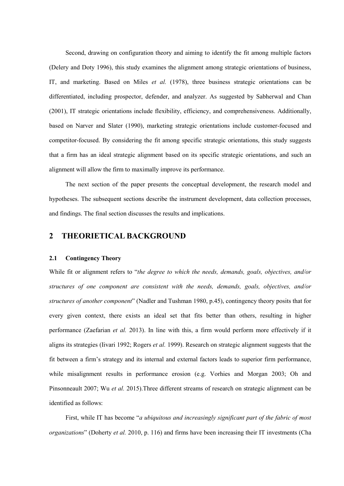Second, drawing on configuration theory and aiming to identify the fit among multiple factors (Delery and Doty 1996), this study examines the alignment among strategic orientations of business, IT, and marketing. Based on Miles *et al.* (1978), three business strategic orientations can be differentiated, including prospector, defender, and analyzer. As suggested by Sabherwal and Chan (2001), IT strategic orientations include flexibility, efficiency, and comprehensiveness. Additionally, based on Narver and Slater (1990), marketing strategic orientations include customer-focused and competitor-focused. By considering the fit among specific strategic orientations, this study suggests that a firm has an ideal strategic alignment based on its specific strategic orientations, and such an alignment will allow the firm to maximally improve its performance.

The next section of the paper presents the conceptual development, the research model and hypotheses. The subsequent sections describe the instrument development, data collection processes, and findings. The final section discusses the results and implications.

# **2 THEORIETICAL BACKGROUND**

#### **2.1 Contingency Theory**

While fit or alignment refers to "*the degree to which the needs, demands, goals, objectives, and/or structures of one component are consistent with the needs, demands, goals, objectives, and/or structures of another component*" (Nadler and Tushman 1980, p.45), contingency theory posits that for every given context, there exists an ideal set that fits better than others, resulting in higher performance (Zaefarian *et al.* 2013). In line with this, a firm would perform more effectively if it aligns its strategies (Iivari 1992; Rogers *et al.* 1999). Research on strategic alignment suggests that the fit between a firm's strategy and its internal and external factors leads to superior firm performance, while misalignment results in performance erosion (e.g. Vorhies and Morgan 2003; Oh and Pinsonneault 2007; Wu *et al.* 2015).Three different streams of research on strategic alignment can be identified as follows:

First, while IT has become "*a ubiquitous and increasingly significant part of the fabric of most organizations*" (Doherty *et al.* 2010, p. 116) and firms have been increasing their IT investments (Cha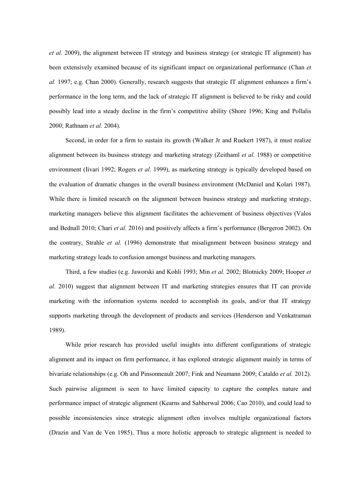*et al.* 2009), the alignment between IT strategy and business strategy (or strategic IT alignment) has been extensively examined because of its significant impact on organizational performance (Chan *et al.* 1997; e.g. Chan 2000). Generally, research suggests that strategic IT alignment enhances a firm's performance in the long term, and the lack of strategic IT alignment is believed to be risky and could possibly lead into a steady decline in the firm's competitive ability (Shore 1996; King and Pollalis 2000; Rathnam *et al.* 2004).

Second, in order for a firm to sustain its growth (Walker Jr and Ruekert 1987), it must realize alignment between its business strategy and marketing strategy (Zeithaml *et al.* 1988) or competitive environment (Iivari 1992; Rogers *et al.* 1999), as marketing strategy is typically developed based on the evaluation of dramatic changes in the overall business environment (McDaniel and Kolari 1987). While there is limited research on the alignment between business strategy and marketing strategy, marketing managers believe this alignment facilitates the achievement of business objectives (Valos and Bednall 2010; Chari *et al.* 2016) and positively affects a firm's performance (Bergeron 2002). On the contrary, Strahle *et al.* (1996) demonstrate that misalignment between business strategy and marketing strategy leads to confusion amongst business and marketing managers.

Third, a few studies (e.g. Jaworski and Kohli 1993; Min *et al.* 2002; Blotnicky 2009; Hooper *et al.* 2010) suggest that alignment between IT and marketing strategies ensures that IT can provide marketing with the information systems needed to accomplish its goals, and/or that IT strategy supports marketing through the development of products and services (Henderson and Venkatraman 1989).

While prior research has provided useful insights into different configurations of strategic alignment and its impact on firm performance, it has explored strategic alignment mainly in terms of bivariate relationships (e.g. Oh and Pinsonneault 2007; Fink and Neumann 2009; Cataldo *et al.* 2012). Such pairwise alignment is seen to have limited capacity to capture the complex nature and performance impact of strategic alignment (Kearns and Sabherwal 2006; Cao 2010), and could lead to possible inconsistencies since strategic alignment often involves multiple organizational factors (Drazin and Van de Ven 1985). Thus a more holistic approach to strategic alignment is needed to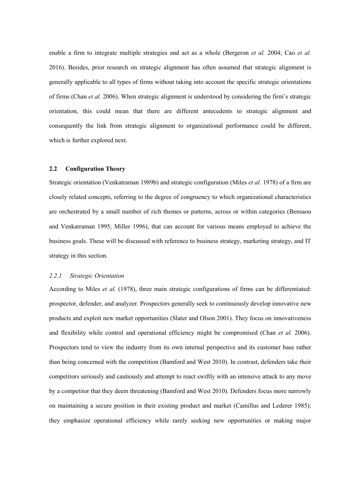enable a firm to integrate multiple strategies and act as a whole (Bergeron *et al.* 2004; Cao *et al.* 2016). Besides, prior research on strategic alignment has often assumed that strategic alignment is generally applicable to all types of firms without taking into account the specific strategic orientations of firms (Chan *et al.* 2006). When strategic alignment is understood by considering the firm's strategic orientation, this could mean that there are different antecedents to strategic alignment and consequently the link from strategic alignment to organizational performance could be different, which is further explored next.

#### **2.2 Configuration Theory**

Strategic orientation (Venkatraman 1989b) and strategic configuration (Miles *et al.* 1978) of a firm are closely related concepts, referring to the degree of congruency to which organizational characteristics are orchestrated by a small number of rich themes or patterns, across or within categories (Bensaou and Venkatraman 1995; Miller 1996), that can account for various means employed to achieve the business goals. These will be discussed with reference to business strategy, marketing strategy, and IT strategy in this section.

## *2.2.1 Strategic Orientation*

According to Miles *et al.* (1978), three main strategic configurations of firms can be differentiated: prospector, defender, and analyzer. Prospectors generally seek to continuously develop innovative new products and exploit new market opportunities (Slater and Olson 2001). They focus on innovativeness and flexibility while control and operational efficiency might be compromised (Chan *et al.* 2006). Prospectors tend to view the industry from its own internal perspective and its customer base rather than being concerned with the competition (Bamford and West 2010). In contrast, defenders take their competitors seriously and cautiously and attempt to react swiftly with an intensive attack to any move by a competitor that they deem threatening (Bamford and West 2010). Defenders focus more narrowly on maintaining a secure position in their existing product and market (Camillus and Lederer 1985); they emphasize operational efficiency while rarely seeking new opportunities or making major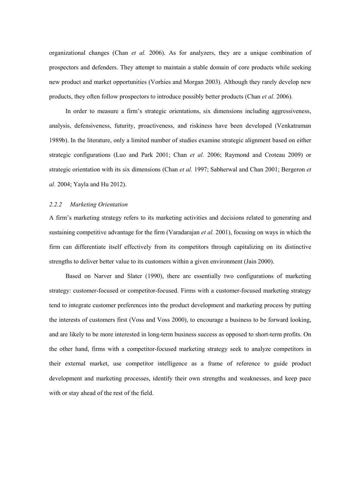organizational changes (Chan *et al.* 2006). As for analyzers, they are a unique combination of prospectors and defenders. They attempt to maintain a stable domain of core products while seeking new product and market opportunities (Vorhies and Morgan 2003). Although they rarely develop new products, they often follow prospectors to introduce possibly better products (Chan *et al.* 2006).

In order to measure a firm's strategic orientations, six dimensions including aggressiveness, analysis, defensiveness, futurity, proactiveness, and riskiness have been developed (Venkatraman 1989b). In the literature, only a limited number of studies examine strategic alignment based on either strategic configurations (Luo and Park 2001; Chan *et al.* 2006; Raymond and Croteau 2009) or strategic orientation with its six dimensions (Chan *et al.* 1997; Sabherwal and Chan 2001; Bergeron *et al.* 2004; Yayla and Hu 2012).

## *2.2.2 Marketing Orientation*

A firm's marketing strategy refers to its marketing activities and decisions related to generating and sustaining competitive advantage for the firm (Varadarajan *et al.* 2001), focusing on ways in which the firm can differentiate itself effectively from its competitors through capitalizing on its distinctive strengths to deliver better value to its customers within a given environment (Jain 2000).

Based on Narver and Slater (1990), there are essentially two configurations of marketing strategy: customer-focused or competitor-focused. Firms with a customer-focused marketing strategy tend to integrate customer preferences into the product development and marketing process by putting the interests of customers first (Voss and Voss 2000), to encourage a business to be forward looking, and are likely to be more interested in long-term business success as opposed to short-term profits. On the other hand, firms with a competitor-focused marketing strategy seek to analyze competitors in their external market, use competitor intelligence as a frame of reference to guide product development and marketing processes, identify their own strengths and weaknesses, and keep pace with or stay ahead of the rest of the field.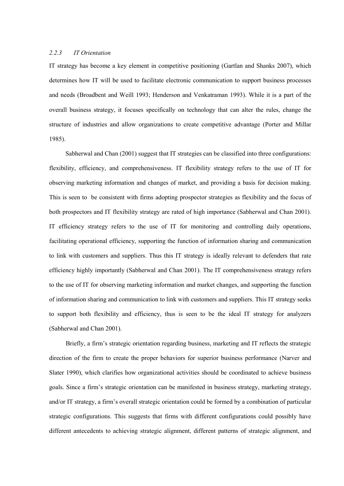#### *2.2.3 IT Orientation*

IT strategy has become a key element in competitive positioning (Gartlan and Shanks 2007), which determines how IT will be used to facilitate electronic communication to support business processes and needs (Broadbent and Weill 1993; Henderson and Venkatraman 1993). While it is a part of the overall business strategy, it focuses specifically on technology that can alter the rules, change the structure of industries and allow organizations to create competitive advantage (Porter and Millar 1985).

Sabherwal and Chan (2001) suggest that IT strategies can be classified into three configurations: flexibility, efficiency, and comprehensiveness. IT flexibility strategy refers to the use of IT for observing marketing information and changes of market, and providing a basis for decision making. This is seen to be consistent with firms adopting prospector strategies as flexibility and the focus of both prospectors and IT flexibility strategy are rated of high importance (Sabherwal and Chan 2001). IT efficiency strategy refers to the use of IT for monitoring and controlling daily operations, facilitating operational efficiency, supporting the function of information sharing and communication to link with customers and suppliers. Thus this IT strategy is ideally relevant to defenders that rate efficiency highly importantly (Sabherwal and Chan 2001). The IT comprehensiveness strategy refers to the use of IT for observing marketing information and market changes, and supporting the function of information sharing and communication to link with customers and suppliers. This IT strategy seeks to support both flexibility and efficiency, thus is seen to be the ideal IT strategy for analyzers (Sabherwal and Chan 2001).

Briefly, a firm's strategic orientation regarding business, marketing and IT reflects the strategic direction of the firm to create the proper behaviors for superior business performance (Narver and Slater 1990), which clarifies how organizational activities should be coordinated to achieve business goals. Since a firm's strategic orientation can be manifested in business strategy, marketing strategy, and/or IT strategy, a firm's overall strategic orientation could be formed by a combination of particular strategic configurations. This suggests that firms with different configurations could possibly have different antecedents to achieving strategic alignment, different patterns of strategic alignment, and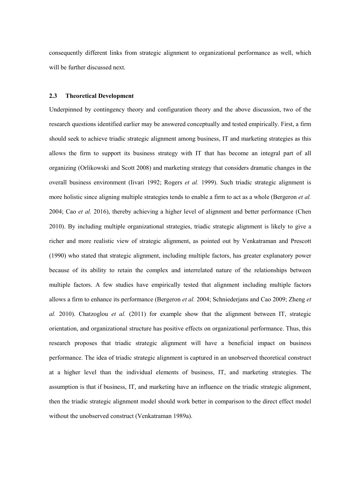consequently different links from strategic alignment to organizational performance as well, which will be further discussed next.

#### **2.3 Theoretical Development**

Underpinned by contingency theory and configuration theory and the above discussion, two of the research questions identified earlier may be answered conceptually and tested empirically. First, a firm should seek to achieve triadic strategic alignment among business, IT and marketing strategies as this allows the firm to support its business strategy with IT that has become an integral part of all organizing (Orlikowski and Scott 2008) and marketing strategy that considers dramatic changes in the overall business environment (Iivari 1992; Rogers *et al.* 1999). Such triadic strategic alignment is more holistic since aligning multiple strategies tends to enable a firm to act as a whole (Bergeron *et al.* 2004; Cao *et al.* 2016), thereby achieving a higher level of alignment and better performance (Chen 2010). By including multiple organizational strategies, triadic strategic alignment is likely to give a richer and more realistic view of strategic alignment, as pointed out by Venkatraman and Prescott (1990) who stated that strategic alignment, including multiple factors, has greater explanatory power because of its ability to retain the complex and interrelated nature of the relationships between multiple factors. A few studies have empirically tested that alignment including multiple factors allows a firm to enhance its performance (Bergeron *et al.* 2004; Schniederjans and Cao 2009; Zheng *et al.* 2010). Chatzoglou *et al.* (2011) for example show that the alignment between IT, strategic orientation, and organizational structure has positive effects on organizational performance. Thus, this research proposes that triadic strategic alignment will have a beneficial impact on business performance. The idea of triadic strategic alignment is captured in an unobserved theoretical construct at a higher level than the individual elements of business, IT, and marketing strategies. The assumption is that if business, IT, and marketing have an influence on the triadic strategic alignment, then the triadic strategic alignment model should work better in comparison to the direct effect model without the unobserved construct (Venkatraman 1989a).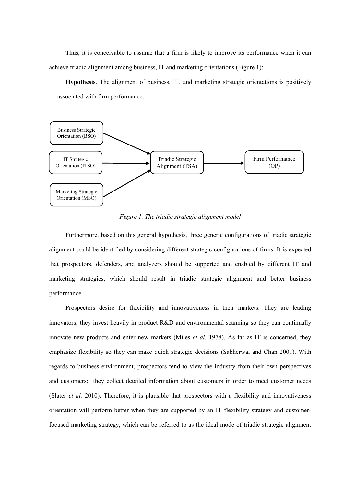Thus, it is conceivable to assume that a firm is likely to improve its performance when it can achieve triadic alignment among business, IT and marketing orientations (Figure 1):

**Hypothesis**. The alignment of business, IT, and marketing strategic orientations is positively associated with firm performance.



*Figure 1. The triadic strategic alignment model*

Furthermore, based on this general hypothesis, three generic configurations of triadic strategic alignment could be identified by considering different strategic configurations of firms. It is expected that prospectors, defenders, and analyzers should be supported and enabled by different IT and marketing strategies, which should result in triadic strategic alignment and better business performance.

Prospectors desire for flexibility and innovativeness in their markets. They are leading innovators; they invest heavily in product R&D and environmental scanning so they can continually innovate new products and enter new markets (Miles *et al.* 1978). As far as IT is concerned, they emphasize flexibility so they can make quick strategic decisions (Sabherwal and Chan 2001). With regards to business environment, prospectors tend to view the industry from their own perspectives and customers; they collect detailed information about customers in order to meet customer needs (Slater *et al.* 2010). Therefore, it is plausible that prospectors with a flexibility and innovativeness orientation will perform better when they are supported by an IT flexibility strategy and customerfocused marketing strategy, which can be referred to as the ideal mode of triadic strategic alignment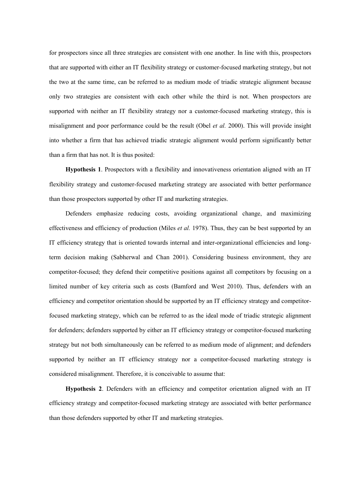for prospectors since all three strategies are consistent with one another. In line with this, prospectors that are supported with either an IT flexibility strategy or customer-focused marketing strategy, but not the two at the same time, can be referred to as medium mode of triadic strategic alignment because only two strategies are consistent with each other while the third is not. When prospectors are supported with neither an IT flexibility strategy nor a customer-focused marketing strategy, this is misalignment and poor performance could be the result (Obel *et al.* 2000). This will provide insight into whether a firm that has achieved triadic strategic alignment would perform significantly better than a firm that has not. It is thus posited:

**Hypothesis 1**. Prospectors with a flexibility and innovativeness orientation aligned with an IT flexibility strategy and customer-focused marketing strategy are associated with better performance than those prospectors supported by other IT and marketing strategies.

Defenders emphasize reducing costs, avoiding organizational change, and maximizing effectiveness and efficiency of production (Miles *et al.* 1978). Thus, they can be best supported by an IT efficiency strategy that is oriented towards internal and inter-organizational efficiencies and longterm decision making (Sabherwal and Chan 2001). Considering business environment, they are competitor-focused; they defend their competitive positions against all competitors by focusing on a limited number of key criteria such as costs (Bamford and West 2010). Thus, defenders with an efficiency and competitor orientation should be supported by an IT efficiency strategy and competitorfocused marketing strategy, which can be referred to as the ideal mode of triadic strategic alignment for defenders; defenders supported by either an IT efficiency strategy or competitor-focused marketing strategy but not both simultaneously can be referred to as medium mode of alignment; and defenders supported by neither an IT efficiency strategy nor a competitor-focused marketing strategy is considered misalignment. Therefore, it is conceivable to assume that:

**Hypothesis 2**. Defenders with an efficiency and competitor orientation aligned with an IT efficiency strategy and competitor-focused marketing strategy are associated with better performance than those defenders supported by other IT and marketing strategies.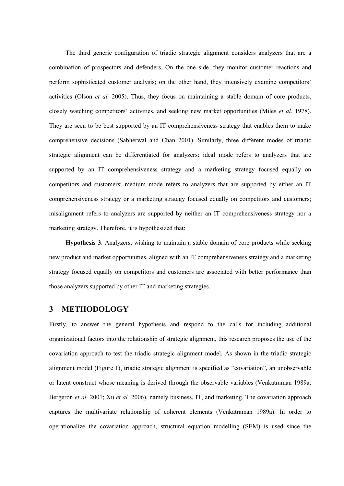The third generic configuration of triadic strategic alignment considers analyzers that are a combination of prospectors and defenders. On the one side, they monitor customer reactions and perform sophisticated customer analysis; on the other hand, they intensively examine competitors' activities (Olson *et al.* 2005). Thus, they focus on maintaining a stable domain of core products, closely watching competitors' activities, and seeking new market opportunities (Miles *et al.* 1978). They are seen to be best supported by an IT comprehensiveness strategy that enables them to make comprehensive decisions (Sabherwal and Chan 2001). Similarly, three different modes of triadic strategic alignment can be differentiated for analyzers: ideal mode refers to analyzers that are supported by an IT comprehensiveness strategy and a marketing strategy focused equally on competitors and customers; medium mode refers to analyzers that are supported by either an IT comprehensiveness strategy or a marketing strategy focused equally on competitors and customers; misalignment refers to analyzers are supported by neither an IT comprehensiveness strategy nor a marketing strategy. Therefore, it is hypothesized that:

**Hypothesis 3**. Analyzers, wishing to maintain a stable domain of core products while seeking new product and market opportunities, aligned with an IT comprehensiveness strategy and a marketing strategy focused equally on competitors and customers are associated with better performance than those analyzers supported by other IT and marketing strategies.

# **3 METHODOLOGY**

Firstly, to answer the general hypothesis and respond to the calls for including additional organizational factors into the relationship of strategic alignment, this research proposes the use of the covariation approach to test the triadic strategic alignment model. As shown in the triadic strategic alignment model (Figure 1), triadic strategic alignment is specified as "covariation", an unobservable or latent construct whose meaning is derived through the observable variables (Venkatraman 1989a; Bergeron *et al.* 2001; Xu *et al.* 2006), namely business, IT, and marketing. The covariation approach captures the multivariate relationship of coherent elements (Venkatraman 1989a). In order to operationalize the covariation approach, structural equation modelling (SEM) is used since the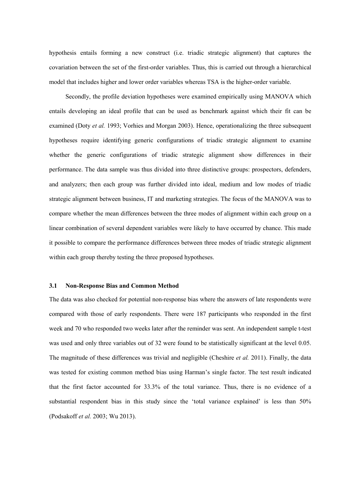hypothesis entails forming a new construct (i.e. triadic strategic alignment) that captures the covariation between the set of the first-order variables. Thus, this is carried out through a hierarchical model that includes higher and lower order variables whereas TSA is the higher-order variable.

Secondly, the profile deviation hypotheses were examined empirically using MANOVA which entails developing an ideal profile that can be used as benchmark against which their fit can be examined (Doty *et al.* 1993; Vorhies and Morgan 2003). Hence, operationalizing the three subsequent hypotheses require identifying generic configurations of triadic strategic alignment to examine whether the generic configurations of triadic strategic alignment show differences in their performance. The data sample was thus divided into three distinctive groups: prospectors, defenders, and analyzers; then each group was further divided into ideal, medium and low modes of triadic strategic alignment between business, IT and marketing strategies. The focus of the MANOVA was to compare whether the mean differences between the three modes of alignment within each group on a linear combination of several dependent variables were likely to have occurred by chance. This made it possible to compare the performance differences between three modes of triadic strategic alignment within each group thereby testing the three proposed hypotheses.

#### **3.1 Non-Response Bias and Common Method**

The data was also checked for potential non-response bias where the answers of late respondents were compared with those of early respondents. There were 187 participants who responded in the first week and 70 who responded two weeks later after the reminder was sent. An independent sample t-test was used and only three variables out of 32 were found to be statistically significant at the level 0.05. The magnitude of these differences was trivial and negligible (Cheshire *et al.* 2011). Finally, the data was tested for existing common method bias using Harman's single factor. The test result indicated that the first factor accounted for 33.3% of the total variance. Thus, there is no evidence of a substantial respondent bias in this study since the 'total variance explained' is less than 50% (Podsakoff *et al.* 2003; Wu 2013).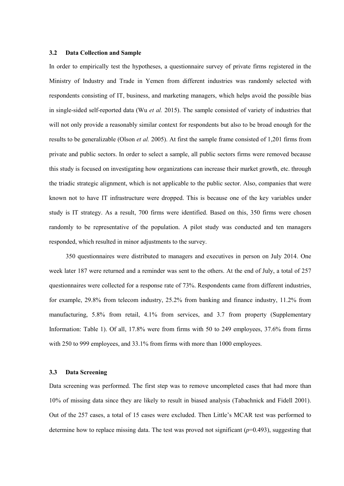#### **3.2 Data Collection and Sample**

In order to empirically test the hypotheses, a questionnaire survey of private firms registered in the Ministry of Industry and Trade in Yemen from different industries was randomly selected with respondents consisting of IT, business, and marketing managers, which helps avoid the possible bias in single-sided self-reported data (Wu *et al.* 2015). The sample consisted of variety of industries that will not only provide a reasonably similar context for respondents but also to be broad enough for the results to be generalizable (Olson *et al.* 2005). At first the sample frame consisted of 1,201 firms from private and public sectors. In order to select a sample, all public sectors firms were removed because this study is focused on investigating how organizations can increase their market growth, etc. through the triadic strategic alignment, which is not applicable to the public sector. Also, companies that were known not to have IT infrastructure were dropped. This is because one of the key variables under study is IT strategy. As a result, 700 firms were identified. Based on this, 350 firms were chosen randomly to be representative of the population. A pilot study was conducted and ten managers responded, which resulted in minor adjustments to the survey.

350 questionnaires were distributed to managers and executives in person on July 2014. One week later 187 were returned and a reminder was sent to the others. At the end of July, a total of 257 questionnaires were collected for a response rate of 73%. Respondents came from different industries, for example, 29.8% from telecom industry, 25.2% from banking and finance industry, 11.2% from manufacturing, 5.8% from retail, 4.1% from services, and 3.7 from property (Supplementary Information: Table 1). Of all, 17.8% were from firms with 50 to 249 employees, 37.6% from firms with 250 to 999 employees, and 33.1% from firms with more than 1000 employees.

### **3.3 Data Screening**

Data screening was performed. The first step was to remove uncompleted cases that had more than 10% of missing data since they are likely to result in biased analysis (Tabachnick and Fidell 2001). Out of the 257 cases, a total of 15 cases were excluded. Then Little's MCAR test was performed to determine how to replace missing data. The test was proved not significant (*p*=0.493), suggesting that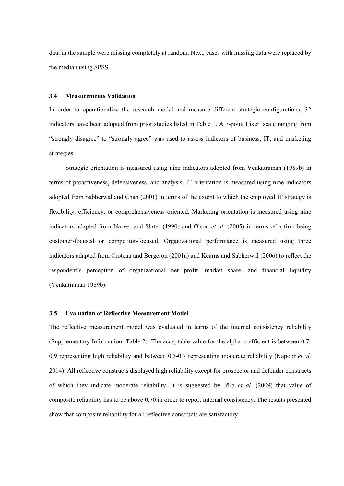data in the sample were missing completely at random. Next, cases with missing data were replaced by the median using SPSS.

#### **3.4 Measurements Validation**

In order to operationalize the research model and measure different strategic configurations, 32 indicators have been adopted from prior studies listed in Table 1. A 7-point Likert scale ranging from "strongly disagree" to "strongly agree" was used to assess indictors of business, IT, and marketing strategies.

Strategic orientation is measured using nine indicators adopted from Venkatraman (1989b) in terms of proactiveness, defensiveness, and analysis. IT orientation is measured using nine indicators adopted from Sabherwal and Chan (2001) in terms of the extent to which the employed IT strategy is flexibility, efficiency, or comprehensiveness oriented. Marketing orientation is measured using nine indicators adapted from Narver and Slater (1990) and Olson *et al.* (2005) in terms of a firm being customer-focused or competitor-focused. Organizational performance is measured using three indicators adapted from Croteau and Bergeron (2001a) and Kearns and Sabherwal (2006) to reflect the respondent's perception of organizational net profit, market share, and financial liquidity (Venkatraman 1989b).

# **3.5 Evaluation of Reflective Measurement Model**

The reflective measurement model was evaluated in terms of the internal consistency reliability (Supplementary Information: Table 2). The acceptable value for the alpha coefficient is between 0.7- 0.9 representing high reliability and between 0.5-0.7 representing moderate reliability (Kapoor *et al.* 2014). All reflective constructs displayed high reliability except for prospector and defender constructs of which they indicate moderate reliability. It is suggested by Jörg *et al.* (2009) that value of composite reliability has to be above 0.70 in order to report internal consistency. The results presented show that composite reliability for all reflective constructs are satisfactory.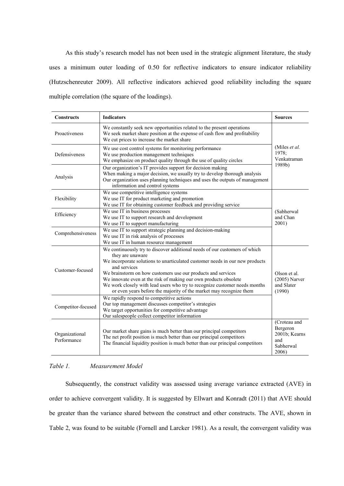As this study's research model has not been used in the strategic alignment literature, the study uses a minimum outer loading of 0.50 for reflective indicators to ensure indicator reliability (Hutzschenreuter 2009). All reflective indicators achieved good reliability including the square multiple correlation (the square of the loadings).

| <b>Constructs</b>             | <b>Indicators</b>                                                                                                                                                                                                                                                                                                                                                                                                                                                                      | <b>Sources</b>                                                         |  |  |  |  |  |
|-------------------------------|----------------------------------------------------------------------------------------------------------------------------------------------------------------------------------------------------------------------------------------------------------------------------------------------------------------------------------------------------------------------------------------------------------------------------------------------------------------------------------------|------------------------------------------------------------------------|--|--|--|--|--|
| Proactiveness                 | We constantly seek new opportunities related to the present operations<br>We seek market share position at the expense of cash flow and profitability<br>We cut prices to increase the market share                                                                                                                                                                                                                                                                                    |                                                                        |  |  |  |  |  |
| Defensiveness                 | We use cost control systems for monitoring performance<br>We use production management techniques<br>We emphasize on product quality through the use of quality circles                                                                                                                                                                                                                                                                                                                |                                                                        |  |  |  |  |  |
| Analysis                      | Our organization's IT provides support for decision making<br>When making a major decision, we usually try to develop thorough analysis<br>Our organization uses planning techniques and uses the outputs of management<br>information and control systems                                                                                                                                                                                                                             |                                                                        |  |  |  |  |  |
| Flexibility                   | We use competitive intelligence systems<br>We use IT for product marketing and promotion<br>We use IT for obtaining customer feedback and providing service                                                                                                                                                                                                                                                                                                                            |                                                                        |  |  |  |  |  |
| Efficiency                    | We use IT in business processes<br>We use IT to support research and development<br>We use IT to support manufacturing                                                                                                                                                                                                                                                                                                                                                                 | (Sabherwal<br>and Chan<br>2001)                                        |  |  |  |  |  |
| Comprehensiveness             | We use IT to support strategic planning and decision-making<br>We use IT in risk analysis of processes<br>We use IT in human resource management                                                                                                                                                                                                                                                                                                                                       |                                                                        |  |  |  |  |  |
| Customer-focused              | We continuously try to discover additional needs of our customers of which<br>they are unaware<br>We incorporate solutions to unarticulated customer needs in our new products<br>and services<br>We brainstorm on how customers use our products and services<br>We innovate even at the risk of making our own products obsolete<br>We work closely with lead users who try to recognize customer needs months<br>or even years before the majority of the market may recognize them | Olson et al.<br>$(2005)$ Narver<br>and Slater<br>(1990)                |  |  |  |  |  |
| Competitor-focused            | We rapidly respond to competitive actions<br>Our top management discusses competitor's strategies<br>We target opportunities for competitive advantage<br>Our salespeople collect competitor information                                                                                                                                                                                                                                                                               |                                                                        |  |  |  |  |  |
| Organizational<br>Performance | Our market share gains is much better than our principal competitors<br>The net profit position is much better than our principal competitors<br>The financial liquidity position is much better than our principal competitors                                                                                                                                                                                                                                                        | (Croteau and<br>Bergeron<br>2001b; Kearns<br>and<br>Sabherwal<br>2006) |  |  |  |  |  |

## *Table 1. Measurement Model*

Subsequently, the construct validity was assessed using average variance extracted (AVE) in order to achieve convergent validity. It is suggested by Ellwart and Konradt (2011) that AVE should be greater than the variance shared between the construct and other constructs. The AVE, shown in Table 2, was found to be suitable (Fornell and Larcker 1981). As a result, the convergent validity was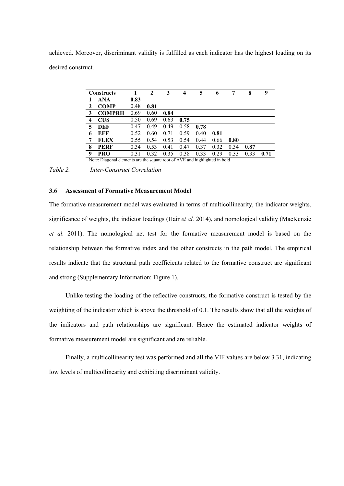achieved. Moreover, discriminant validity is fulfilled as each indicator has the highest loading on its desired construct.

|                                                                            | <b>Constructs</b> |      | 2    | 3    | 4    | 5    | 6    | 7    | 8    | 9    |
|----------------------------------------------------------------------------|-------------------|------|------|------|------|------|------|------|------|------|
|                                                                            | ANA               | 0.83 |      |      |      |      |      |      |      |      |
| 2                                                                          | <b>COMP</b>       | 0.48 | 0.81 |      |      |      |      |      |      |      |
| 3                                                                          | <b>COMPRH</b>     | 0.69 | 0.60 | 0.84 |      |      |      |      |      |      |
| $\overline{4}$                                                             | <b>CUS</b>        | 0.50 | 0.69 | 0.63 | 0.75 |      |      |      |      |      |
| 5                                                                          | DEF               | 0.47 | 0.49 | 0.49 | 0.58 | 0.78 |      |      |      |      |
| 6                                                                          | EFF               | 0.52 | 0.60 | 0.71 | 0.59 | 0.40 | 0.81 |      |      |      |
| 7                                                                          | <b>FLEX</b>       | 0.55 | 0.54 | 0.53 | 0.54 | 0.44 | 0.66 | 0.80 |      |      |
| 8                                                                          | <b>PERF</b>       | 0.34 | 0.53 | 0.41 | 0.47 | 0.37 | 0.32 | 0.34 | 0.87 |      |
| 9                                                                          | <b>PRO</b>        | 0.31 | 0.32 | 0.35 | 0.38 | 0.33 | 0.29 | 0.33 | 0.33 | 0.71 |
| Note: Diagonal elements are the square root of AVE and highlighted in bold |                   |      |      |      |      |      |      |      |      |      |

*Table 2. Inter-Construct Correlation*

#### **3.6 Assessment of Formative Measurement Model**

The formative measurement model was evaluated in terms of multicollinearity, the indicator weights, significance of weights, the indictor loadings (Hair *et al.* 2014), and nomological validity (MacKenzie *et al.* 2011). The nomological net test for the formative measurement model is based on the relationship between the formative index and the other constructs in the path model. The empirical results indicate that the structural path coefficients related to the formative construct are significant and strong (Supplementary Information: Figure 1).

Unlike testing the loading of the reflective constructs, the formative construct is tested by the weighting of the indicator which is above the threshold of 0.1. The results show that all the weights of the indicators and path relationships are significant. Hence the estimated indicator weights of formative measurement model are significant and are reliable.

Finally, a multicollinearity test was performed and all the VIF values are below 3.31, indicating low levels of multicollinearity and exhibiting discriminant validity.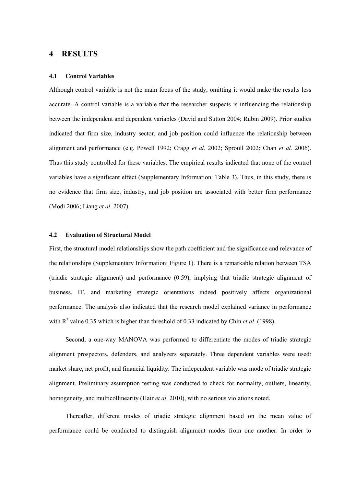# **4 RESULTS**

#### **4.1 Control Variables**

Although control variable is not the main focus of the study, omitting it would make the results less accurate. A control variable is a variable that the researcher suspects is influencing the relationship between the independent and dependent variables (David and Sutton 2004; Rubin 2009). Prior studies indicated that firm size, industry sector, and job position could influence the relationship between alignment and performance (e.g. Powell 1992; Cragg *et al.* 2002; Sproull 2002; Chan *et al.* 2006). Thus this study controlled for these variables. The empirical results indicated that none of the control variables have a significant effect (Supplementary Information: Table 3). Thus, in this study, there is no evidence that firm size, industry, and job position are associated with better firm performance (Modi 2006; Liang *et al.* 2007).

#### **4.2 Evaluation of Structural Model**

First, the structural model relationships show the path coefficient and the significance and relevance of the relationships (Supplementary Information: Figure 1). There is a remarkable relation between TSA (triadic strategic alignment) and performance (0.59), implying that triadic strategic alignment of business, IT, and marketing strategic orientations indeed positively affects organizational performance. The analysis also indicated that the research model explained variance in performance with R<sup>2</sup> value 0.35 which is higher than threshold of 0.33 indicated by Chin *et al.* (1998).

Second, a one-way MANOVA was performed to differentiate the modes of triadic strategic alignment prospectors, defenders, and analyzers separately. Three dependent variables were used: market share, net profit, and financial liquidity. The independent variable was mode of triadic strategic alignment. Preliminary assumption testing was conducted to check for normality, outliers, linearity, homogeneity, and multicollinearity (Hair *et al.* 2010), with no serious violations noted.

Thereafter, different modes of triadic strategic alignment based on the mean value of performance could be conducted to distinguish alignment modes from one another. In order to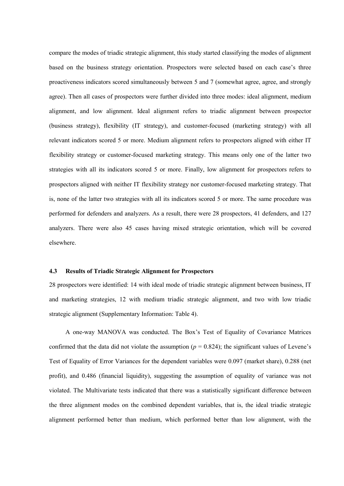compare the modes of triadic strategic alignment, this study started classifying the modes of alignment based on the business strategy orientation. Prospectors were selected based on each case's three proactiveness indicators scored simultaneously between 5 and 7 (somewhat agree, agree, and strongly agree). Then all cases of prospectors were further divided into three modes: ideal alignment, medium alignment, and low alignment. Ideal alignment refers to triadic alignment between prospector (business strategy), flexibility (IT strategy), and customer-focused (marketing strategy) with all relevant indicators scored 5 or more. Medium alignment refers to prospectors aligned with either IT flexibility strategy or customer-focused marketing strategy. This means only one of the latter two strategies with all its indicators scored 5 or more. Finally, low alignment for prospectors refers to prospectors aligned with neither IT flexibility strategy nor customer-focused marketing strategy. That is, none of the latter two strategies with all its indicators scored 5 or more. The same procedure was performed for defenders and analyzers. As a result, there were 28 prospectors, 41 defenders, and 127 analyzers. There were also 45 cases having mixed strategic orientation, which will be covered elsewhere.

#### **4.3 Results of Triadic Strategic Alignment for Prospectors**

28 prospectors were identified: 14 with ideal mode of triadic strategic alignment between business, IT and marketing strategies, 12 with medium triadic strategic alignment, and two with low triadic strategic alignment (Supplementary Information: Table 4).

A one-way MANOVA was conducted. The Box's Test of Equality of Covariance Matrices confirmed that the data did not violate the assumption  $(p = 0.824)$ ; the significant values of Levene's Test of Equality of Error Variances for the dependent variables were 0.097 (market share), 0.288 (net profit), and 0.486 (financial liquidity), suggesting the assumption of equality of variance was not violated. The Multivariate tests indicated that there was a statistically significant difference between the three alignment modes on the combined dependent variables, that is, the ideal triadic strategic alignment performed better than medium, which performed better than low alignment, with the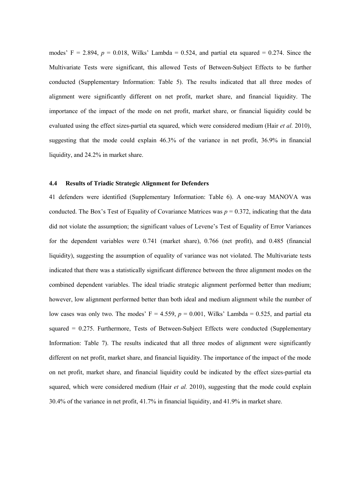modes' F = 2.894,  $p = 0.018$ , Wilks' Lambda = 0.524, and partial eta squared = 0.274. Since the Multivariate Tests were significant, this allowed Tests of Between-Subject Effects to be further conducted (Supplementary Information: Table 5). The results indicated that all three modes of alignment were significantly different on net profit, market share, and financial liquidity. The importance of the impact of the mode on net profit, market share, or financial liquidity could be evaluated using the effect sizes-partial eta squared, which were considered medium (Hair *et al.* 2010), suggesting that the mode could explain 46.3% of the variance in net profit, 36.9% in financial liquidity, and 24.2% in market share.

#### **4.4 Results of Triadic Strategic Alignment for Defenders**

41 defenders were identified (Supplementary Information: Table 6). A one-way MANOVA was conducted. The Box's Test of Equality of Covariance Matrices was  $p = 0.372$ , indicating that the data did not violate the assumption; the significant values of Levene's Test of Equality of Error Variances for the dependent variables were 0.741 (market share), 0.766 (net profit), and 0.485 (financial liquidity), suggesting the assumption of equality of variance was not violated. The Multivariate tests indicated that there was a statistically significant difference between the three alignment modes on the combined dependent variables. The ideal triadic strategic alignment performed better than medium; however, low alignment performed better than both ideal and medium alignment while the number of low cases was only two. The modes'  $F = 4.559$ ,  $p = 0.001$ , Wilks' Lambda = 0.525, and partial eta squared = 0.275. Furthermore, Tests of Between-Subject Effects were conducted (Supplementary Information: Table 7). The results indicated that all three modes of alignment were significantly different on net profit, market share, and financial liquidity. The importance of the impact of the mode on net profit, market share, and financial liquidity could be indicated by the effect sizes-partial eta squared, which were considered medium (Hair *et al.* 2010), suggesting that the mode could explain 30.4% of the variance in net profit, 41.7% in financial liquidity, and 41.9% in market share.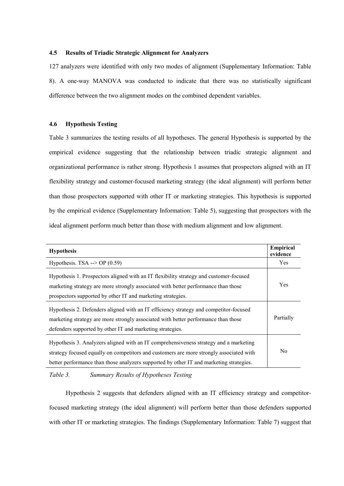## **4.5 Results of Triadic Strategic Alignment for Analyzers**

127 analyzers were identified with only two modes of alignment (Supplementary Information: Table 8). A one-way MANOVA was conducted to indicate that there was no statistically significant difference between the two alignment modes on the combined dependent variables.

## **4.6 Hypothesis Testing**

Table 3 summarizes the testing results of all hypotheses. The general Hypothesis is supported by the empirical evidence suggesting that the relationship between triadic strategic alignment and organizational performance is rather strong. Hypothesis 1 assumes that prospectors aligned with an IT flexibility strategy and customer-focused marketing strategy (the ideal alignment) will perform better than those prospectors supported with other IT or marketing strategies. This hypothesis is supported by the empirical evidence (Supplementary Information: Table 5), suggesting that prospectors with the ideal alignment perform much better than those with medium alignment and low alignment.

| <b>Hypothesis</b>                                                                                                                                                                                                                                                           | Empirical<br>evidence |  |
|-----------------------------------------------------------------------------------------------------------------------------------------------------------------------------------------------------------------------------------------------------------------------------|-----------------------|--|
| Hypothesis. TSA --> OP $(0.59)$                                                                                                                                                                                                                                             | <b>Yes</b>            |  |
| Hypothesis 1. Prospectors aligned with an IT flexibility strategy and customer-focused<br>marketing strategy are more strongly associated with better performance than those<br>prospectors supported by other IT and marketing strategies.                                 | Yes                   |  |
| Hypothesis 2. Defenders aligned with an IT efficiency strategy and competitor-focused<br>marketing strategy are more strongly associated with better performance than those<br>defenders supported by other IT and marketing strategies.                                    |                       |  |
| Hypothesis 3. Analyzers aligned with an IT comprehensiveness strategy and a marketing<br>strategy focused equally on competitors and customers are more strongly associated with<br>better performance than those analyzers supported by other IT and marketing strategies. |                       |  |

*Table 3. Summary Results of Hypotheses Testing*

Hypothesis 2 suggests that defenders aligned with an IT efficiency strategy and competitorfocused marketing strategy (the ideal alignment) will perform better than those defenders supported with other IT or marketing strategies. The findings (Supplementary Information: Table 7) suggest that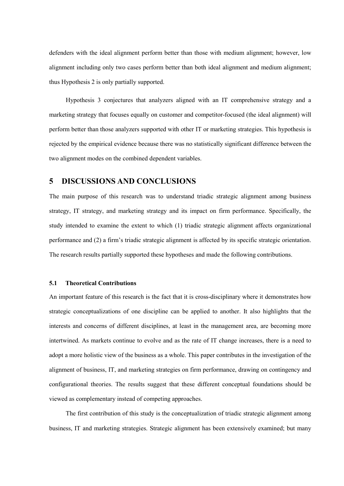defenders with the ideal alignment perform better than those with medium alignment; however, low alignment including only two cases perform better than both ideal alignment and medium alignment; thus Hypothesis 2 is only partially supported.

Hypothesis 3 conjectures that analyzers aligned with an IT comprehensive strategy and a marketing strategy that focuses equally on customer and competitor-focused (the ideal alignment) will perform better than those analyzers supported with other IT or marketing strategies. This hypothesis is rejected by the empirical evidence because there was no statistically significant difference between the two alignment modes on the combined dependent variables.

# **5 DISCUSSIONS AND CONCLUSIONS**

The main purpose of this research was to understand triadic strategic alignment among business strategy, IT strategy, and marketing strategy and its impact on firm performance. Specifically, the study intended to examine the extent to which (1) triadic strategic alignment affects organizational performance and (2) a firm's triadic strategic alignment is affected by its specific strategic orientation. The research results partially supported these hypotheses and made the following contributions.

## **5.1 Theoretical Contributions**

An important feature of this research is the fact that it is cross-disciplinary where it demonstrates how strategic conceptualizations of one discipline can be applied to another. It also highlights that the interests and concerns of different disciplines, at least in the management area, are becoming more intertwined. As markets continue to evolve and as the rate of IT change increases, there is a need to adopt a more holistic view of the business as a whole. This paper contributes in the investigation of the alignment of business, IT, and marketing strategies on firm performance, drawing on contingency and configurational theories. The results suggest that these different conceptual foundations should be viewed as complementary instead of competing approaches.

The first contribution of this study is the conceptualization of triadic strategic alignment among business, IT and marketing strategies. Strategic alignment has been extensively examined; but many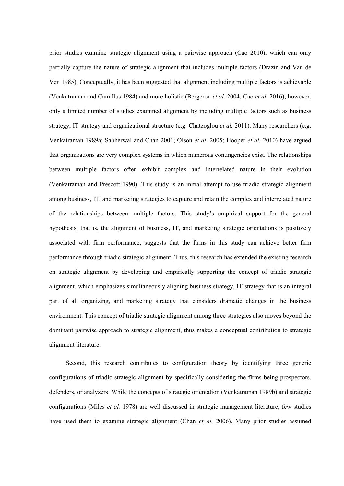prior studies examine strategic alignment using a pairwise approach (Cao 2010), which can only partially capture the nature of strategic alignment that includes multiple factors (Drazin and Van de Ven 1985). Conceptually, it has been suggested that alignment including multiple factors is achievable (Venkatraman and Camillus 1984) and more holistic (Bergeron *et al.* 2004; Cao *et al.* 2016); however, only a limited number of studies examined alignment by including multiple factors such as business strategy, IT strategy and organizational structure (e.g. Chatzoglou *et al.* 2011). Many researchers (e.g. Venkatraman 1989a; Sabherwal and Chan 2001; Olson *et al.* 2005; Hooper *et al.* 2010) have argued that organizations are very complex systems in which numerous contingencies exist. The relationships between multiple factors often exhibit complex and interrelated nature in their evolution (Venkatraman and Prescott 1990). This study is an initial attempt to use triadic strategic alignment among business, IT, and marketing strategies to capture and retain the complex and interrelated nature of the relationships between multiple factors. This study's empirical support for the general hypothesis, that is, the alignment of business, IT, and marketing strategic orientations is positively associated with firm performance, suggests that the firms in this study can achieve better firm performance through triadic strategic alignment. Thus, this research has extended the existing research on strategic alignment by developing and empirically supporting the concept of triadic strategic alignment, which emphasizes simultaneously aligning business strategy, IT strategy that is an integral part of all organizing, and marketing strategy that considers dramatic changes in the business environment. This concept of triadic strategic alignment among three strategies also moves beyond the dominant pairwise approach to strategic alignment, thus makes a conceptual contribution to strategic alignment literature.

Second, this research contributes to configuration theory by identifying three generic configurations of triadic strategic alignment by specifically considering the firms being prospectors, defenders, or analyzers. While the concepts of strategic orientation (Venkatraman 1989b) and strategic configurations (Miles *et al.* 1978) are well discussed in strategic management literature, few studies have used them to examine strategic alignment (Chan *et al.* 2006). Many prior studies assumed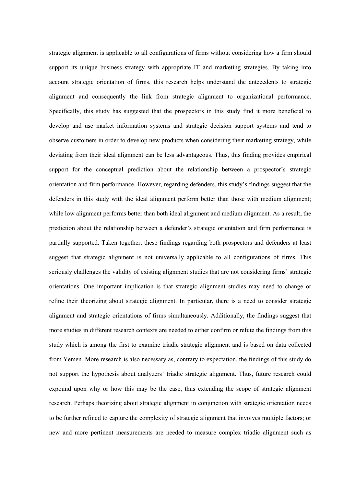strategic alignment is applicable to all configurations of firms without considering how a firm should support its unique business strategy with appropriate IT and marketing strategies. By taking into account strategic orientation of firms, this research helps understand the antecedents to strategic alignment and consequently the link from strategic alignment to organizational performance. Specifically, this study has suggested that the prospectors in this study find it more beneficial to develop and use market information systems and strategic decision support systems and tend to observe customers in order to develop new products when considering their marketing strategy, while deviating from their ideal alignment can be less advantageous. Thus, this finding provides empirical support for the conceptual prediction about the relationship between a prospector's strategic orientation and firm performance. However, regarding defenders, this study's findings suggest that the defenders in this study with the ideal alignment perform better than those with medium alignment; while low alignment performs better than both ideal alignment and medium alignment. As a result, the prediction about the relationship between a defender's strategic orientation and firm performance is partially supported. Taken together, these findings regarding both prospectors and defenders at least suggest that strategic alignment is not universally applicable to all configurations of firms. This seriously challenges the validity of existing alignment studies that are not considering firms' strategic orientations. One important implication is that strategic alignment studies may need to change or refine their theorizing about strategic alignment. In particular, there is a need to consider strategic alignment and strategic orientations of firms simultaneously. Additionally, the findings suggest that more studies in different research contexts are needed to either confirm or refute the findings from this study which is among the first to examine triadic strategic alignment and is based on data collected from Yemen. More research is also necessary as, contrary to expectation, the findings of this study do not support the hypothesis about analyzers' triadic strategic alignment. Thus, future research could expound upon why or how this may be the case, thus extending the scope of strategic alignment research. Perhaps theorizing about strategic alignment in conjunction with strategic orientation needs to be further refined to capture the complexity of strategic alignment that involves multiple factors; or new and more pertinent measurements are needed to measure complex triadic alignment such as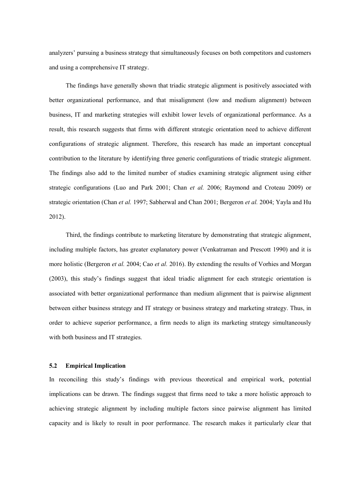analyzers' pursuing a business strategy that simultaneously focuses on both competitors and customers and using a comprehensive IT strategy.

The findings have generally shown that triadic strategic alignment is positively associated with better organizational performance, and that misalignment (low and medium alignment) between business, IT and marketing strategies will exhibit lower levels of organizational performance. As a result, this research suggests that firms with different strategic orientation need to achieve different configurations of strategic alignment. Therefore, this research has made an important conceptual contribution to the literature by identifying three generic configurations of triadic strategic alignment. The findings also add to the limited number of studies examining strategic alignment using either strategic configurations (Luo and Park 2001; Chan *et al.* 2006; Raymond and Croteau 2009) or strategic orientation (Chan *et al.* 1997; Sabherwal and Chan 2001; Bergeron *et al.* 2004; Yayla and Hu 2012).

Third, the findings contribute to marketing literature by demonstrating that strategic alignment, including multiple factors, has greater explanatory power (Venkatraman and Prescott 1990) and it is more holistic (Bergeron *et al.* 2004; Cao *et al.* 2016). By extending the results of Vorhies and Morgan (2003), this study's findings suggest that ideal triadic alignment for each strategic orientation is associated with better organizational performance than medium alignment that is pairwise alignment between either business strategy and IT strategy or business strategy and marketing strategy. Thus, in order to achieve superior performance, a firm needs to align its marketing strategy simultaneously with both business and IT strategies.

#### **5.2 Empirical Implication**

In reconciling this study's findings with previous theoretical and empirical work, potential implications can be drawn. The findings suggest that firms need to take a more holistic approach to achieving strategic alignment by including multiple factors since pairwise alignment has limited capacity and is likely to result in poor performance. The research makes it particularly clear that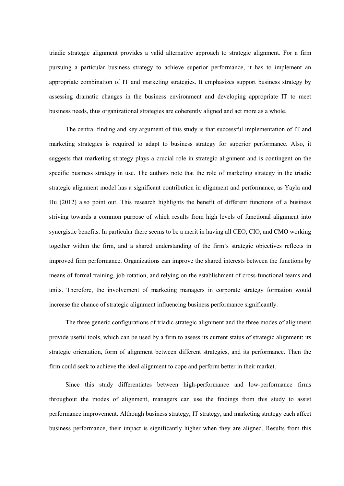triadic strategic alignment provides a valid alternative approach to strategic alignment. For a firm pursuing a particular business strategy to achieve superior performance, it has to implement an appropriate combination of IT and marketing strategies. It emphasizes support business strategy by assessing dramatic changes in the business environment and developing appropriate IT to meet business needs, thus organizational strategies are coherently aligned and act more as a whole.

The central finding and key argument of this study is that successful implementation of IT and marketing strategies is required to adapt to business strategy for superior performance. Also, it suggests that marketing strategy plays a crucial role in strategic alignment and is contingent on the specific business strategy in use. The authors note that the role of marketing strategy in the triadic strategic alignment model has a significant contribution in alignment and performance, as Yayla and Hu (2012) also point out. This research highlights the benefit of different functions of a business striving towards a common purpose of which results from high levels of functional alignment into synergistic benefits. In particular there seems to be a merit in having all CEO, CIO, and CMO working together within the firm, and a shared understanding of the firm's strategic objectives reflects in improved firm performance. Organizations can improve the shared interests between the functions by means of formal training, job rotation, and relying on the establishment of cross-functional teams and units. Therefore, the involvement of marketing managers in corporate strategy formation would increase the chance of strategic alignment influencing business performance significantly.

The three generic configurations of triadic strategic alignment and the three modes of alignment provide useful tools, which can be used by a firm to assess its current status of strategic alignment: its strategic orientation, form of alignment between different strategies, and its performance. Then the firm could seek to achieve the ideal alignment to cope and perform better in their market.

Since this study differentiates between high-performance and low-performance firms throughout the modes of alignment, managers can use the findings from this study to assist performance improvement. Although business strategy, IT strategy, and marketing strategy each affect business performance, their impact is significantly higher when they are aligned. Results from this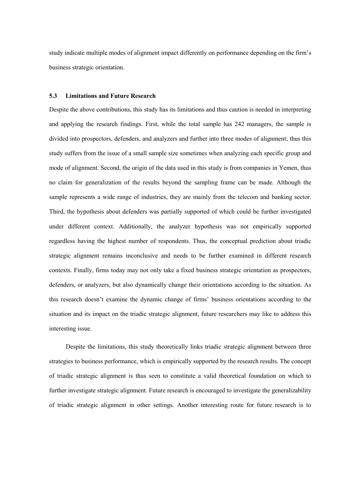study indicate multiple modes of alignment impact differently on performance depending on the firm's business strategic orientation.

#### **5.3 Limitations and Future Research**

Despite the above contributions, this study has its limitations and thus caution is needed in interpreting and applying the research findings. First, while the total sample has 242 managers, the sample is divided into prospectors, defenders, and analyzers and further into three modes of alignment; thus this study suffers from the issue of a small sample size sometimes when analyzing each specific group and mode of alignment. Second, the origin of the data used in this study is from companies in Yemen, thus no claim for generalization of the results beyond the sampling frame can be made. Although the sample represents a wide range of industries, they are mainly from the telecom and banking sector. Third, the hypothesis about defenders was partially supported of which could be further investigated under different context. Additionally, the analyzer hypothesis was not empirically supported regardless having the highest number of respondents. Thus, the conceptual prediction about triadic strategic alignment remains inconclusive and needs to be further examined in different research contexts. Finally, firms today may not only take a fixed business strategic orientation as prospectors, defenders, or analyzers, but also dynamically change their orientations according to the situation. As this research doesn't examine the dynamic change of firms' business orientations according to the situation and its impact on the triadic strategic alignment, future researchers may like to address this interesting issue.

Despite the limitations, this study theoretically links triadic strategic alignment between three strategies to business performance, which is empirically supported by the research results. The concept of triadic strategic alignment is thus seen to constitute a valid theoretical foundation on which to further investigate strategic alignment. Future research is encouraged to investigate the generalizability of triadic strategic alignment in other settings. Another interesting route for future research is to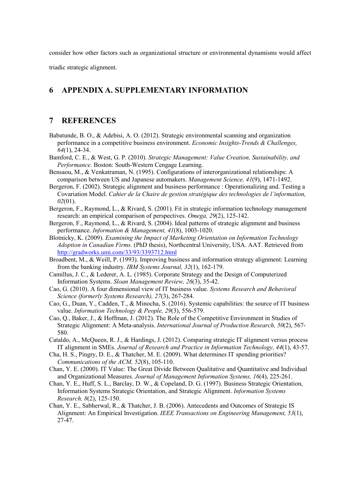consider how other factors such as organizational structure or environmental dynamisms would affect

triadic strategic alignment.

# **6 APPENDIX A. SUPPLEMENTARY INFORMATION**

# **7 REFERENCES**

- Babatunde, B. O., & Adebisi, A. O. (2012). Strategic environmental scanning and organization performance in a competitive business environment. *Economic Insights-Trends & Challenges, 64*(1), 24-34.
- Bamford, C. E., & West, G. P. (2010). *Strategic Management: Value Creation, Sustainability, and Performance*. Boston: South-Western Cengage Learning.
- Bensaou, M., & Venkatraman, N. (1995). Configurations of interorganizational relationships: A comparison between US and Japanese automakers. *Management Science, 41*(9), 1471-1492.
- Bergeron, F. (2002). Strategic alignment and business performance : Operationalizing and. Testing a Covariation Model. *Cahier de la Chaire de gestion stratégique des technologies de l'information, 02*(01).
- Bergeron, F., Raymond, L., & Rivard, S. (2001). Fit in strategic information technology management research: an empirical comparison of perspectives. *Omega, 29*(2), 125-142.
- Bergeron, F., Raymond, L., & Rivard, S. (2004). Ideal patterns of strategic alignment and business performance. *Information & Management, 41*(8), 1003-1020.
- Blotnicky, K. (2009). *Examining the Impact of Marketing Orientation on Information Technology Adoption in Canadian Firms.* (PhD thesis), Northcentral University, USA. AAT. Retrieved from http://gradworks.umi.com/33/93/3393712.html
- Broadbent, M., & Weill, P. (1993). Improving business and information strategy alignment: Learning from the banking industry. *IBM Systems Journal, 32*(1), 162-179.
- Camillus, J. C., & Lederer, A. L. (1985). Corporate Strategy and the Design of Computerized Information Systems. *Sloan Management Review, 26*(3), 35-42.
- Cao, G. (2010). A four dimensional view of IT business value. *Systems Research and Behavioral Science (formerly Systems Research), 27*(3), 267-284.
- Cao, G., Duan, Y., Cadden, T., & Minocha, S. (2016). Systemic capabilities: the source of IT business value. *Information Technology & People, 29*(3), 556-579.
- Cao, Q., Baker, J., & Hoffman, J. (2012). The Role of the Competitive Environment in Studies of Strategic Alignment: A Meta-analysis. *International Journal of Production Research, 50*(2), 567- 580.
- Cataldo, A., McQueen, R. J., & Hardings, J. (2012). Comparing strategic IT alignment versus process IT alignment in SMEs. *Journal of Research and Practice in Information Technology, 44*(1), 43-57.
- Cha, H. S., Pingry, D. E., & Thatcher, M. E. (2009). What determines IT spending priorities? *Communications of the ACM, 52*(8), 105-110.
- Chan, Y. E. (2000). IT Value: The Great Divide Between Qualitative and Quantitative and Individual and Organizational Measures. *Journal of Management Information Systems, 16*(4), 225-261.
- Chan, Y. E., Huff, S. L., Barclay, D. W., & Copeland, D. G. (1997). Business Strategic Orientation, Information Systems Strategic Orientation, and Strategic Alignment. *Information Systems Research, 8*(2), 125-150.
- Chan, Y. E., Sabherwal, R., & Thatcher, J. B. (2006). Antecedents and Outcomes of Strategic IS Alignment: An Empirical Investigation. *IEEE Transactions on Engineering Management, 53*(1), 27-47.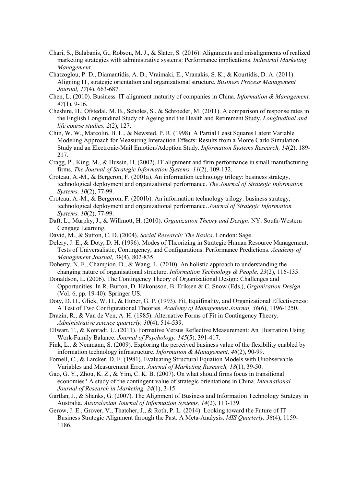- Chari, S., Balabanis, G., Robson, M. J., & Slater, S. (2016). Alignments and misalignments of realized marketing strategies with administrative systems: Performance implications. *Industrial Marketing Management*.
- Chatzoglou, P. D., Diamantidis, A. D., Vraimaki, E., Vranakis, S. K., & Kourtidis, D. A. (2011). Aligning IT, strategic orientation and organizational structure. *Business Process Management Journal, 17*(4), 663-687.
- Chen, L. (2010). Business–IT alignment maturity of companies in China. *Information & Management, 47*(1), 9-16.
- Cheshire, H., Ofstedal, M. B., Scholes, S., & Schroeder, M. (2011). A comparison of response rates in the English Longitudinal Study of Ageing and the Health and Retirement Study. *Longitudinal and life course studies, 2*(2), 127.
- Chin, W. W., Marcolin, B. L., & Newsted, P. R. (1998). A Partial Least Squares Latent Variable Modeling Approach for Measuring Interaction Effects: Results from a Monte Carlo Simulation Study and an Electronic-Mail Emotion/Adoption Study. *Information Systems Research, 14*(2), 189- 217.
- Cragg, P., King, M., & Hussin, H. (2002). IT alignment and firm performance in small manufacturing firms. *The Journal of Strategic Information Systems, 11*(2), 109-132.
- Croteau, A.-M., & Bergeron, F. (2001a). An information technology trilogy: business strategy, technological deployment and organizational performance. *The Journal of Strategic Information Systems, 10*(2), 77-99.
- Croteau, A.-M., & Bergeron, F. (2001b). An information technology trilogy: business strategy, technological deployment and organizational performance. *Journal of Strategic Information Systems, 10*(2), 77-99.
- Daft, L., Murphy, J., & Willmott, H. (2010). *Organization Theory and Design*. NY: South-Western Cengage Learning.
- David, M., & Sutton, C. D. (2004). *Social Research: The Basics*. London: Sage.
- Delery, J. E., & Doty, D. H. (1996). Modes of Theorizing in Strategic Human Resource Management: Tests of Universalistic, Contingency, and Configurations. Performance Predictions. *Academy of Management Journal, 39*(4), 802-835.
- Doherty, N. F., Champion, D., & Wang, L. (2010). An holistic approach to understanding the changing nature of organisational structure. *Information Technology & People, 23*(2), 116-135.
- Donaldson, L. (2006). The Contingency Theory of Organizational Design: Challenges and Opportunities. In R. Burton, D. Håkonsson, B. Eriksen & C. Snow (Eds.), *Organization Design* (Vol. 6, pp. 19-40): Springer US.
- Doty, D. H., Glick, W. H., & Huber, G. P. (1993). Fit, Equifinality, and Organizational Effectiveness: A Test of Two Configurational Theories. *Academy of Management Journal, 36*(6), 1196-1250.
- Drazin, R., & Van de Ven, A. H. (1985). Alternative Forms of Fit in Contingency Theory. *Administrative science quarterly, 30*(4), 514-539.
- Ellwart, T., & Konradt, U. (2011). Formative Versus Reflective Measurement: An Illustration Using Work-Family Balance. *Journal of Psychology, 145*(5), 391-417.
- Fink, L., & Neumann, S. (2009). Exploring the perceived business value of the flexibility enabled by information technology infrastructure. *Information & Management, 46*(2), 90-99.
- Fornell, C., & Larcker, D. F. (1981). Evaluating Structural Equation Models with Unobservable Variables and Measurement Error. *Journal of Marketing Research, 18*(1), 39-50.
- Gao, G. Y., Zhou, K. Z., & Yim, C. K. B. (2007). On what should firms focus in transitional economies? A study of the contingent value of strategic orientations in China. *International Journal of Research in Marketing, 24*(1), 3-15.
- Gartlan, J., & Shanks, G. (2007). The Alignment of Business and Information Technology Strategy in Australia. *Australasian Journal of Information Systems, 14*(2), 113-139.
- Gerow, J. E., Grover, V., Thatcher, J., & Roth, P. L. (2014). Looking toward the Future of IT– Business Strategic Alignment through the Past: A Meta-Analysis. *MIS Quarterly, 38*(4), 1159- 1186.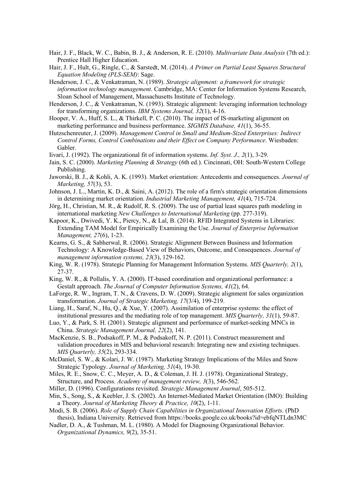- Hair, J. F., Black, W. C., Babin, B. J., & Anderson, R. E. (2010). *Multivariate Data Analysis* (7th ed.): Prentice Hall Higher Education.
- Hair, J. F., Hult, G., Ringle, C., & Sarstedt, M. (2014). *A Primer on Partial Least Squares Structural Equation Modeling (PLS-SEM)*: Sage.
- Henderson, J. C., & Venkatraman, N. (1989). *Strategic alignment: a framework for strategic information technology management*. Cambridge, MA: Center for Information Systems Research, Sloan School of Management, Massachusetts Institute of Technology.
- Henderson, J. C., & Venkatraman, N. (1993). Strategic alignment: leveraging information technology for transforming organizations. *IBM Systems Journal, 32*(1), 4-16.
- Hooper, V. A., Huff, S. L., & Thirkell, P. C. (2010). The impact of IS-marketing alignment on marketing performance and business performance. *SIGMIS Database, 41*(1), 36-55.
- Hutzschenreuter, J. (2009). *Management Control in Small and Medium-Sized Enterprises: Indirect Control Forms, Control Combinations and their Effect on Company Performance*. Wiesbaden: Gabler.
- Iivari, J. (1992). The organizational fit of information systems. *Inf. Syst. J., 2*(1), 3-29.
- Jain, S. C. (2000). *Marketing Planning & Strategy* (6th ed.). Cincinnati, OH: South-Western College Publishing.
- Jaworski, B. J., & Kohli, A. K. (1993). Market orientation: Antecedents and consequences. *Journal of Marketing, 57*(3), 53.
- Johnson, J. L., Martin, K. D., & Saini, A. (2012). The role of a firm's strategic orientation dimensions in determining market orientation. *Industrial Marketing Management, 41*(4), 715-724.
- Jörg, H., Christian, M. R., & Rudolf, R. S. (2009). The use of partial least squares path modeling in international marketing *New Challenges to International Marketing* (pp. 277-319).
- Kapoor, K., Dwivedi, Y. K., Piercy, N., & Lal, B. (2014). RFID Integrated Systems in Libraries: Extending TAM Model for Empirically Examining the Use. *Journal of Enterprise Information Management, 27*(6), 1-23.
- Kearns, G. S., & Sabherwal, R. (2006). Strategic Alignment Between Business and Information Technology: A Knowledge-Based View of Behaviors, Outcome, and Consequences. *Journal of management information systems, 23*(3), 129-162.
- King, W. R. (1978). Strategic Planning for Management Information Systems. *MIS Quarterly, 2*(1), 27-37.
- King, W. R., & Pollalis, Y. A. (2000). IT-based coordination and organizational performance: a Gestalt approach. *The Journal of Computer Information Systems, 41*(2), 64.
- LaForge, R. W., Ingram, T. N., & Cravens, D. W. (2009). Strategic alignment for sales organization transformation. *Journal of Strategic Marketing, 17*(3/4), 199-219.
- Liang, H., Saraf, N., Hu, Q., & Xue, Y. (2007). Assimilation of enterprise systems: the effect of institutional pressures and the mediating role of top management. *MIS Quarterly, 31*(1), 59-87.
- Luo, Y., & Park, S. H. (2001). Strategic alignment and performance of market-seeking MNCs in China. *Strategic Management Journal, 22*(2), 141.
- MacKenzie, S. B., Podsakoff, P. M., & Podsakoff, N. P. (2011). Construct measurement and validation procedures in MIS and behavioral research: Integrating new and existing techniques. *MIS Quarterly, 35*(2), 293-334.
- McDaniel, S. W., & Kolari, J. W. (1987). Marketing Strategy Implications of the Miles and Snow Strategic Typology. *Journal of Marketing, 51*(4), 19-30.
- Miles, R. E., Snow, C. C., Meyer, A. D., & Coleman, J. H. J. (1978). Organizational Strategy, Structure, and Process. *Academy of management review, 3*(3), 546-562.
- Miller, D. (1996). Configurations revisited. *Strategic Management Journal*, 505-512.
- Min, S., Song, S., & Keebler, J. S. (2002). An Internet-Mediated Market Orientation (IMO): Building a Theory. *Journal of Marketing Theory & Practice, 10*(2), 1-11.
- Modi, S. B. (2006). *Role of Supply Chain Capabilities in Organizational Innovation Efforts.* (PhD thesis), Indiana University. Retrieved from https://books.google.co.uk/books?id=ebfqNTLdn3MC
- Nadler, D. A., & Tushman, M. L. (1980). A Model for Diagnosing Organizational Behavior. *Organizational Dynamics, 9*(2), 35-51.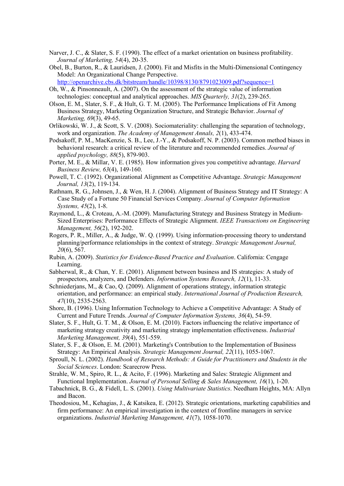- Narver, J. C., & Slater, S. F. (1990). The effect of a market orientation on business profitability. *Journal of Marketing, 54*(4), 20-35.
- Obel, B., Burton, R., & Lauridsen, J. (2000). Fit and Misfits in the Multi-Dimensional Contingency Model: An Organizational Change Perspective. http://openarchive.cbs.dk/bitstream/handle/10398/8130/8791023009.pdf?sequence=1
- Oh, W., & Pinsonneault, A. (2007). On the assessment of the strategic value of information technologies: conceptual and analytical approaches. *MIS Quarterly, 31*(2), 239-265.
- Olson, E. M., Slater, S. F., & Hult, G. T. M. (2005). The Performance Implications of Fit Among Business Strategy, Marketing Organization Structure, and Strategic Behavior. *Journal of Marketing, 69*(3), 49-65.
- Orlikowski, W. J., & Scott, S. V. (2008). Sociomateriality: challenging the separation of technology, work and organization. *The Academy of Management Annals, 2*(1), 433-474.
- Podsakoff, P. M., MacKenzie, S. B., Lee, J.-Y., & Podsakoff, N. P. (2003). Common method biases in behavioral research: a critical review of the literature and recommended remedies. *Journal of applied psychology, 88*(5), 879-903.
- Porter, M. E., & Millar, V. E. (1985). How information gives you competitive advantage. *Harvard Business Review, 63*(4), 149-160.
- Powell, T. C. (1992). Organizational Alignment as Competitive Advantage. *Strategic Management Journal, 13*(2), 119-134.
- Rathnam, R. G., Johnsen, J., & Wen, H. J. (2004). Alignment of Business Strategy and IT Strategy: A Case Study of a Fortune 50 Financial Services Company. *Journal of Computer Information Systems, 45*(2), 1-8.
- Raymond, L., & Croteau, A.-M. (2009). Manufacturing Strategy and Business Strategy in Medium-Sized Enterprises: Performance Effects of Strategic Alignment. *IEEE Transactions on Engineering Management, 56*(2), 192-202.
- Rogers, P. R., Miller, A., & Judge, W. Q. (1999). Using information-processing theory to understand planning/performance relationships in the context of strategy. *Strategic Management Journal, 20*(6), 567.
- Rubin, A. (2009). *Statistics for Evidence-Based Practice and Evaluation*. California: Cengage Learning.
- Sabherwal, R., & Chan, Y. E. (2001). Alignment between business and IS strategies: A study of prospectors, analyzers, and Defenders. *Information Systems Research, 12*(1), 11-33.
- Schniederjans, M., & Cao, Q. (2009). Alignment of operations strategy, information strategic orientation, and performance: an empirical study. *International Journal of Production Research, 47*(10), 2535-2563.
- Shore, B. (1996). Using Information Technology to Achieve a Competitive Advantage: A Study of Current and Future Trends. *Journal of Computer Information Systems, 36*(4), 54-59.
- Slater, S. F., Hult, G. T. M., & Olson, E. M. (2010). Factors influencing the relative importance of marketing strategy creativity and marketing strategy implementation effectiveness. *Industrial Marketing Management, 39*(4), 551-559.
- Slater, S. F., & Olson, E. M. (2001). Marketing's Contribution to the Implementation of Business Strategy: An Empirical Analysis. *Strategic Management Journal, 22*(11), 1055-1067.
- Sproull, N. L. (2002). *Handbook of Research Methods: A Guide for Practitioners and Students in the Social Sciences*. London: Scarecrow Press.
- Strahle, W. M., Spiro, R. L., & Acito, F. (1996). Marketing and Sales: Strategic Alignment and Functional Implementation. *Journal of Personal Selling & Sales Management, 16*(1), 1-20.
- Tabachnick, B. G., & Fidell, L. S. (2001). *Using Multivariate Statistics*. Needham Heights, MA: Allyn and Bacon.
- Theodosiou, M., Kehagias, J., & Katsikea, E. (2012). Strategic orientations, marketing capabilities and firm performance: An empirical investigation in the context of frontline managers in service organizations. *Industrial Marketing Management, 41*(7), 1058-1070.